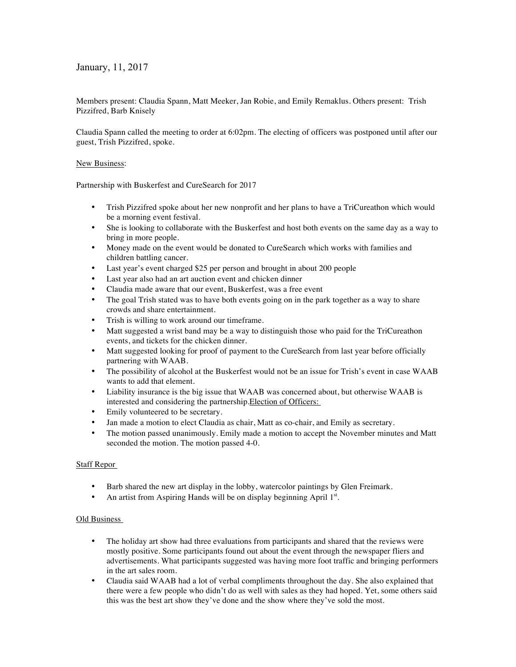January, 11, 2017

Members present: Claudia Spann, Matt Meeker, Jan Robie, and Emily Remaklus. Others present: Trish Pizzifred, Barb Knisely

Claudia Spann called the meeting to order at 6:02pm. The electing of officers was postponed until after our guest, Trish Pizzifred, spoke.

## New Business:

Partnership with Buskerfest and CureSearch for 2017

- Trish Pizzifred spoke about her new nonprofit and her plans to have a TriCureathon which would be a morning event festival.
- She is looking to collaborate with the Buskerfest and host both events on the same day as a way to bring in more people.
- Money made on the event would be donated to CureSearch which works with families and children battling cancer.
- Last year's event charged \$25 per person and brought in about 200 people
- Last year also had an art auction event and chicken dinner
- Claudia made aware that our event, Buskerfest, was a free event
- The goal Trish stated was to have both events going on in the park together as a way to share crowds and share entertainment.
- Trish is willing to work around our timeframe.
- Matt suggested a wrist band may be a way to distinguish those who paid for the TriCureathon events, and tickets for the chicken dinner.
- Matt suggested looking for proof of payment to the CureSearch from last year before officially partnering with WAAB.
- The possibility of alcohol at the Buskerfest would not be an issue for Trish's event in case WAAB wants to add that element.
- Liability insurance is the big issue that WAAB was concerned about, but otherwise WAAB is interested and considering the partnership.Election of Officers:
- Emily volunteered to be secretary.
- Jan made a motion to elect Claudia as chair, Matt as co-chair, and Emily as secretary.
- The motion passed unanimously. Emily made a motion to accept the November minutes and Matt seconded the motion. The motion passed 4-0.

## Staff Repor

- Barb shared the new art display in the lobby, watercolor paintings by Glen Freimark.
- An artist from Aspiring Hands will be on display beginning April 1st.

## Old Business

- The holiday art show had three evaluations from participants and shared that the reviews were mostly positive. Some participants found out about the event through the newspaper fliers and advertisements. What participants suggested was having more foot traffic and bringing performers in the art sales room.
- Claudia said WAAB had a lot of verbal compliments throughout the day. She also explained that there were a few people who didn't do as well with sales as they had hoped. Yet, some others said this was the best art show they've done and the show where they've sold the most.